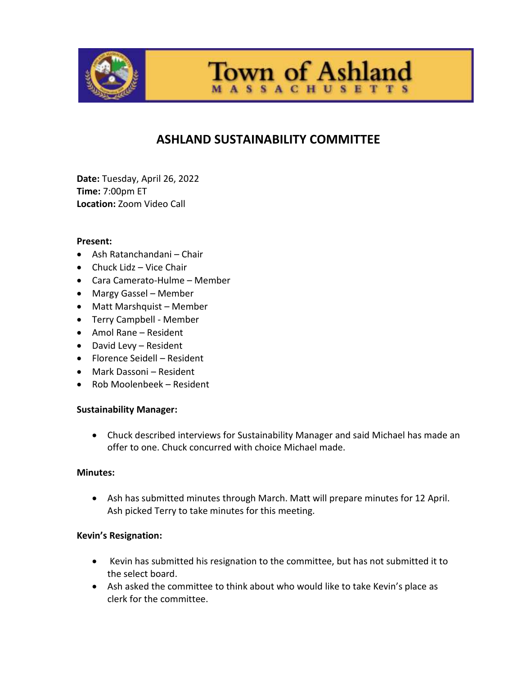

# **ASHLAND SUSTAINABILITY COMMITTEE**

**Town of Ashland** 

**SSACHUSETTS** 

**Date:** Tuesday, April 26, 2022 **Time:** 7:00pm ET **Location:** Zoom Video Call

#### **Present:**

- Ash Ratanchandani Chair
- Chuck Lidz Vice Chair
- Cara Camerato-Hulme Member
- Margy Gassel Member
- Matt Marshquist Member
- Terry Campbell Member
- Amol Rane Resident
- David Levy Resident
- Florence Seidell Resident
- Mark Dassoni Resident
- Rob Moolenbeek Resident

## **Sustainability Manager:**

 Chuck described interviews for Sustainability Manager and said Michael has made an offer to one. Chuck concurred with choice Michael made.

#### **Minutes:**

 Ash has submitted minutes through March. Matt will prepare minutes for 12 April. Ash picked Terry to take minutes for this meeting.

## **Kevin's Resignation:**

- Kevin has submitted his resignation to the committee, but has not submitted it to the select board.
- Ash asked the committee to think about who would like to take Kevin's place as clerk for the committee.